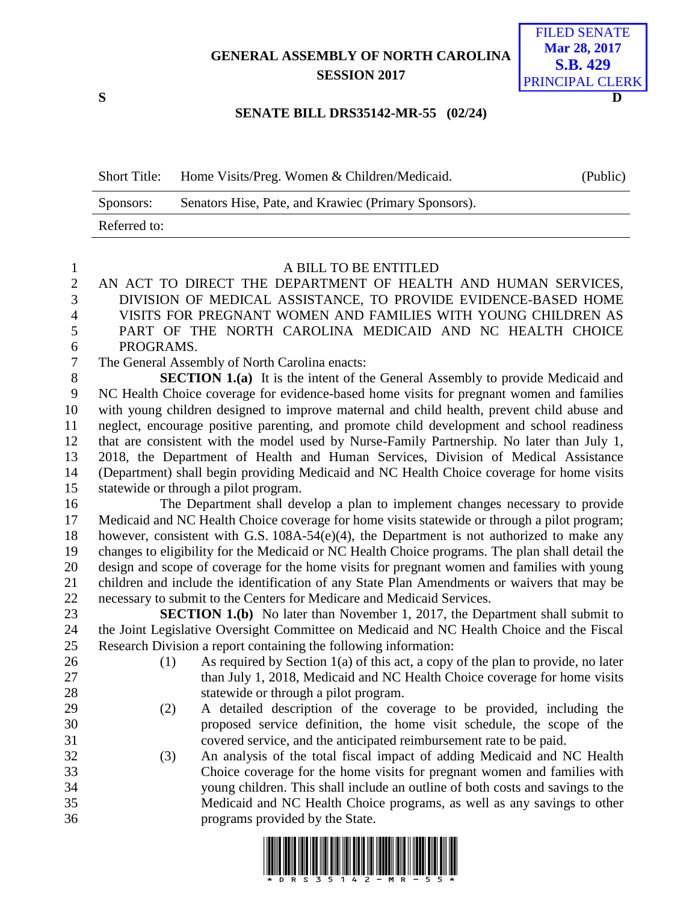## **GENERAL ASSEMBLY OF NORTH CAROLINA SESSION 2017**



## **SENATE BILL DRS35142-MR-55 (02/24)**

| <b>Short Title:</b> | Home Visits/Preg. Women & Children/Medicaid.         | (Public) |
|---------------------|------------------------------------------------------|----------|
| Sponsors:           | Senators Hise, Pate, and Krawiec (Primary Sponsors). |          |
| Referred to:        |                                                      |          |

## A BILL TO BE ENTITLED

- AN ACT TO DIRECT THE DEPARTMENT OF HEALTH AND HUMAN SERVICES, DIVISION OF MEDICAL ASSISTANCE, TO PROVIDE EVIDENCE-BASED HOME VISITS FOR PREGNANT WOMEN AND FAMILIES WITH YOUNG CHILDREN AS PART OF THE NORTH CAROLINA MEDICAID AND NC HEALTH CHOICE PROGRAMS.
- The General Assembly of North Carolina enacts:

 **SECTION 1.(a)** It is the intent of the General Assembly to provide Medicaid and NC Health Choice coverage for evidence-based home visits for pregnant women and families with young children designed to improve maternal and child health, prevent child abuse and neglect, encourage positive parenting, and promote child development and school readiness that are consistent with the model used by Nurse-Family Partnership. No later than July 1, 2018, the Department of Health and Human Services, Division of Medical Assistance (Department) shall begin providing Medicaid and NC Health Choice coverage for home visits statewide or through a pilot program.

 The Department shall develop a plan to implement changes necessary to provide Medicaid and NC Health Choice coverage for home visits statewide or through a pilot program; however, consistent with G.S. 108A-54(e)(4), the Department is not authorized to make any changes to eligibility for the Medicaid or NC Health Choice programs. The plan shall detail the design and scope of coverage for the home visits for pregnant women and families with young children and include the identification of any State Plan Amendments or waivers that may be necessary to submit to the Centers for Medicare and Medicaid Services.

**SECTION 1.(b)** No later than November 1, 2017, the Department shall submit to the Joint Legislative Oversight Committee on Medicaid and NC Health Choice and the Fiscal Research Division a report containing the following information:

- 
- 26 (1) As required by Section 1(a) of this act, a copy of the plan to provide, no later 27 than July 1, 2018, Medicaid and NC Health Choice coverage for home visits statewide or through a pilot program.
- (2) A detailed description of the coverage to be provided, including the proposed service definition, the home visit schedule, the scope of the covered service, and the anticipated reimbursement rate to be paid.
- (3) An analysis of the total fiscal impact of adding Medicaid and NC Health Choice coverage for the home visits for pregnant women and families with young children. This shall include an outline of both costs and savings to the Medicaid and NC Health Choice programs, as well as any savings to other programs provided by the State.